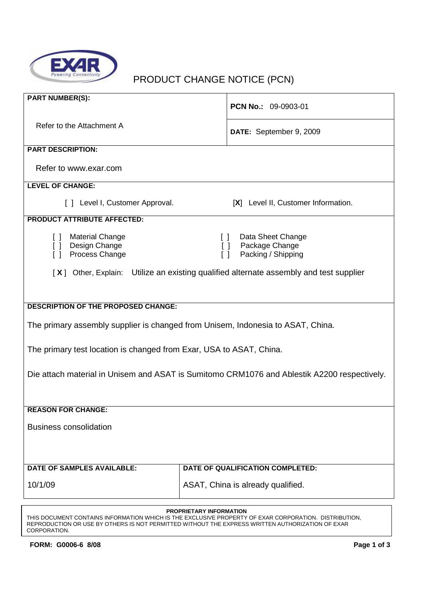

# PRODUCT CHANGE NOTICE (PCN)

| <b>PART NUMBER(S):</b>                                                                      | PCN No.: 09-0903-01                                      |  |
|---------------------------------------------------------------------------------------------|----------------------------------------------------------|--|
| Refer to the Attachment A                                                                   |                                                          |  |
|                                                                                             | DATE: September 9, 2009                                  |  |
| <b>PART DESCRIPTION:</b>                                                                    |                                                          |  |
| Refer to www.exar.com                                                                       |                                                          |  |
| <b>LEVEL OF CHANGE:</b>                                                                     |                                                          |  |
| [ ] Level I, Customer Approval.                                                             | [X] Level II, Customer Information.                      |  |
| <b>PRODUCT ATTRIBUTE AFFECTED:</b>                                                          |                                                          |  |
| <b>Material Change</b><br>$\Box$                                                            | Data Sheet Change<br>$\Box$                              |  |
| Design Change<br>$\Box$<br>Process Change<br>$\lceil$ 1                                     | Package Change<br>$\Box$<br>Packing / Shipping<br>$\Box$ |  |
| [X] Other, Explain: Utilize an existing qualified alternate assembly and test supplier      |                                                          |  |
|                                                                                             |                                                          |  |
|                                                                                             |                                                          |  |
| <b>DESCRIPTION OF THE PROPOSED CHANGE:</b>                                                  |                                                          |  |
| The primary assembly supplier is changed from Unisem, Indonesia to ASAT, China.             |                                                          |  |
| The primary test location is changed from Exar, USA to ASAT, China.                         |                                                          |  |
|                                                                                             |                                                          |  |
| Die attach material in Unisem and ASAT is Sumitomo CRM1076 and Ablestik A2200 respectively. |                                                          |  |
|                                                                                             |                                                          |  |
| <b>REASON FOR CHANGE:</b>                                                                   |                                                          |  |
| <b>Business consolidation</b>                                                               |                                                          |  |
|                                                                                             |                                                          |  |
|                                                                                             |                                                          |  |
| DATE OF SAMPLES AVAILABLE:                                                                  | DATE OF QUALIFICATION COMPLETED:                         |  |
| 10/1/09                                                                                     | ASAT, China is already qualified.                        |  |
| <b>PROPRIETARY INFORMATION</b>                                                              |                                                          |  |

THIS DOCUMENT CONTAINS INFORMATION WHICH IS THE EXCLUSIVE PROPERTY OF EXAR CORPORATION. DISTRIBUTION, REPRODUCTION OR USE BY OTHERS IS NOT PERMITTED WITHOUT THE EXPRESS WRITTEN AUTHORIZATION OF EXAR CORPORATION.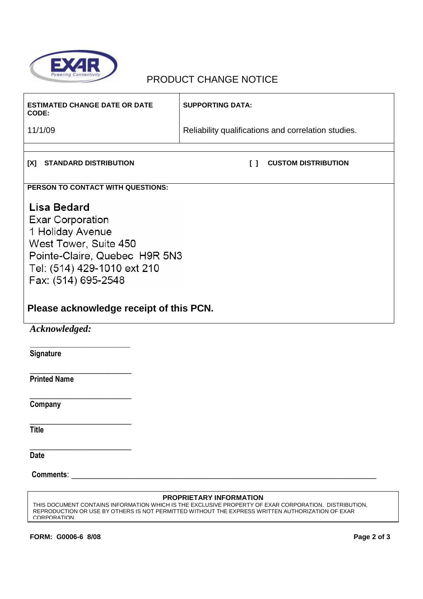

## PRODUCT CHANGE NOTICE

| <b>ESTIMATED CHANGE DATE OR DATE</b><br>CODE:                                                                                                                                                                                                              | <b>SUPPORTING DATA:</b>                             |  |
|------------------------------------------------------------------------------------------------------------------------------------------------------------------------------------------------------------------------------------------------------------|-----------------------------------------------------|--|
| 11/1/09                                                                                                                                                                                                                                                    | Reliability qualifications and correlation studies. |  |
|                                                                                                                                                                                                                                                            |                                                     |  |
| [X]<br><b>STANDARD DISTRIBUTION</b>                                                                                                                                                                                                                        | <b>CUSTOM DISTRIBUTION</b><br>$\mathsf{L}$          |  |
| PERSON TO CONTACT WITH QUESTIONS:                                                                                                                                                                                                                          |                                                     |  |
| Lisa Bedard<br><b>Exar Corporation</b><br>1 Holiday Avenue<br>West Tower, Suite 450<br>Pointe-Claire, Quebec H9R 5N3<br>Tel: (514) 429-1010 ext 210<br>Fax: (514) 695-2548<br>Please acknowledge receipt of this PCN.                                      |                                                     |  |
| Acknowledged:                                                                                                                                                                                                                                              |                                                     |  |
| Signature                                                                                                                                                                                                                                                  |                                                     |  |
| <b>Printed Name</b>                                                                                                                                                                                                                                        |                                                     |  |
| Company                                                                                                                                                                                                                                                    |                                                     |  |
| <b>Title</b>                                                                                                                                                                                                                                               |                                                     |  |
| <b>Date</b>                                                                                                                                                                                                                                                |                                                     |  |
| <b>Comments:</b>                                                                                                                                                                                                                                           |                                                     |  |
| <b>PROPRIETARY INFORMATION</b><br>THIS DOCUMENT CONTAINS INFORMATION WHICH IS THE EXCLUSIVE PROPERTY OF EXAR CORPORATION. DISTRIBUTION,<br>REPRODUCTION OR USE BY OTHERS IS NOT PERMITTED WITHOUT THE EXPRESS WRITTEN AUTHORIZATION OF EXAR<br>CORPORATION |                                                     |  |